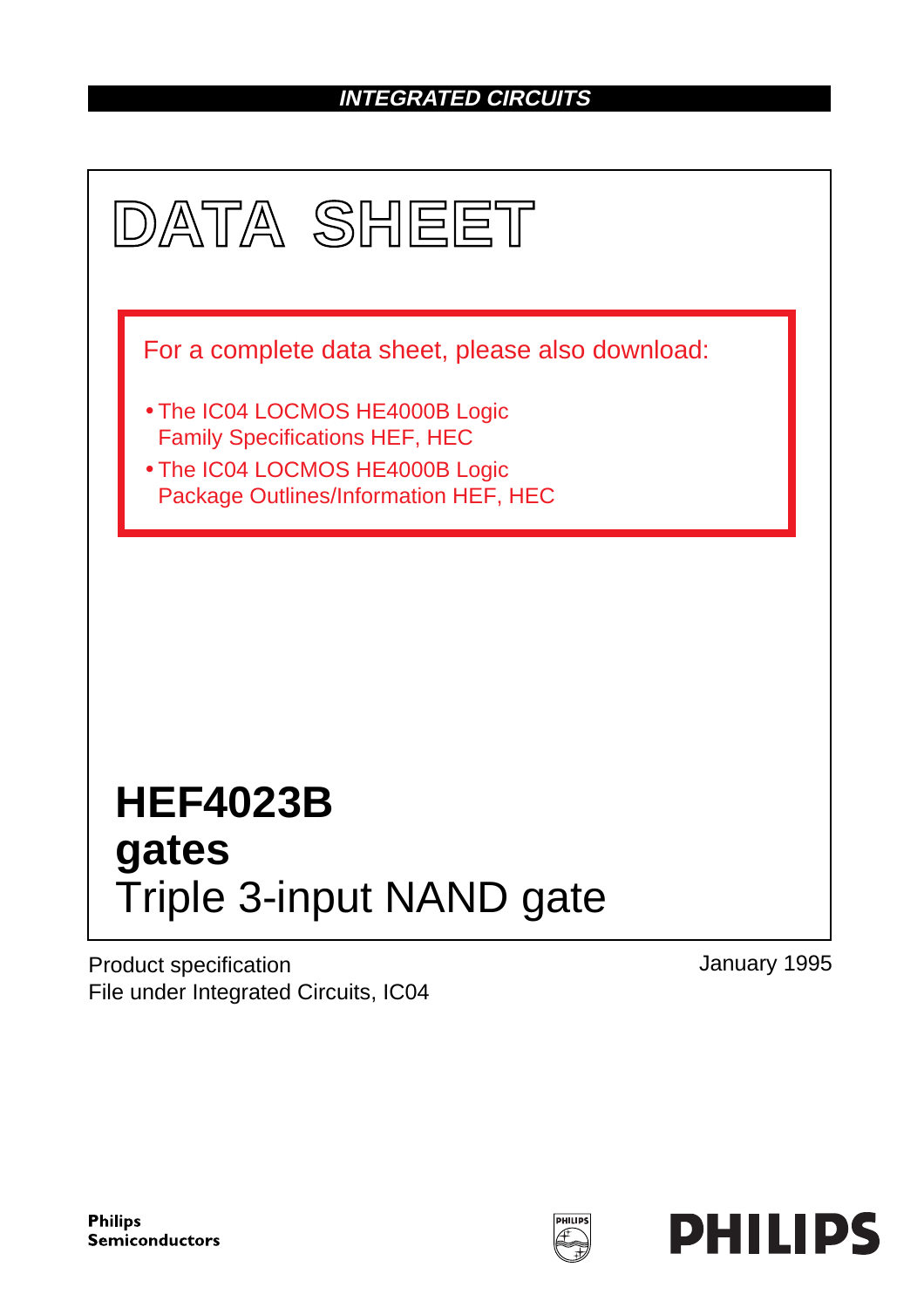### **INTEGRATED CIRCUITS**



Product specification File under Integrated Circuits, IC04 January 1995

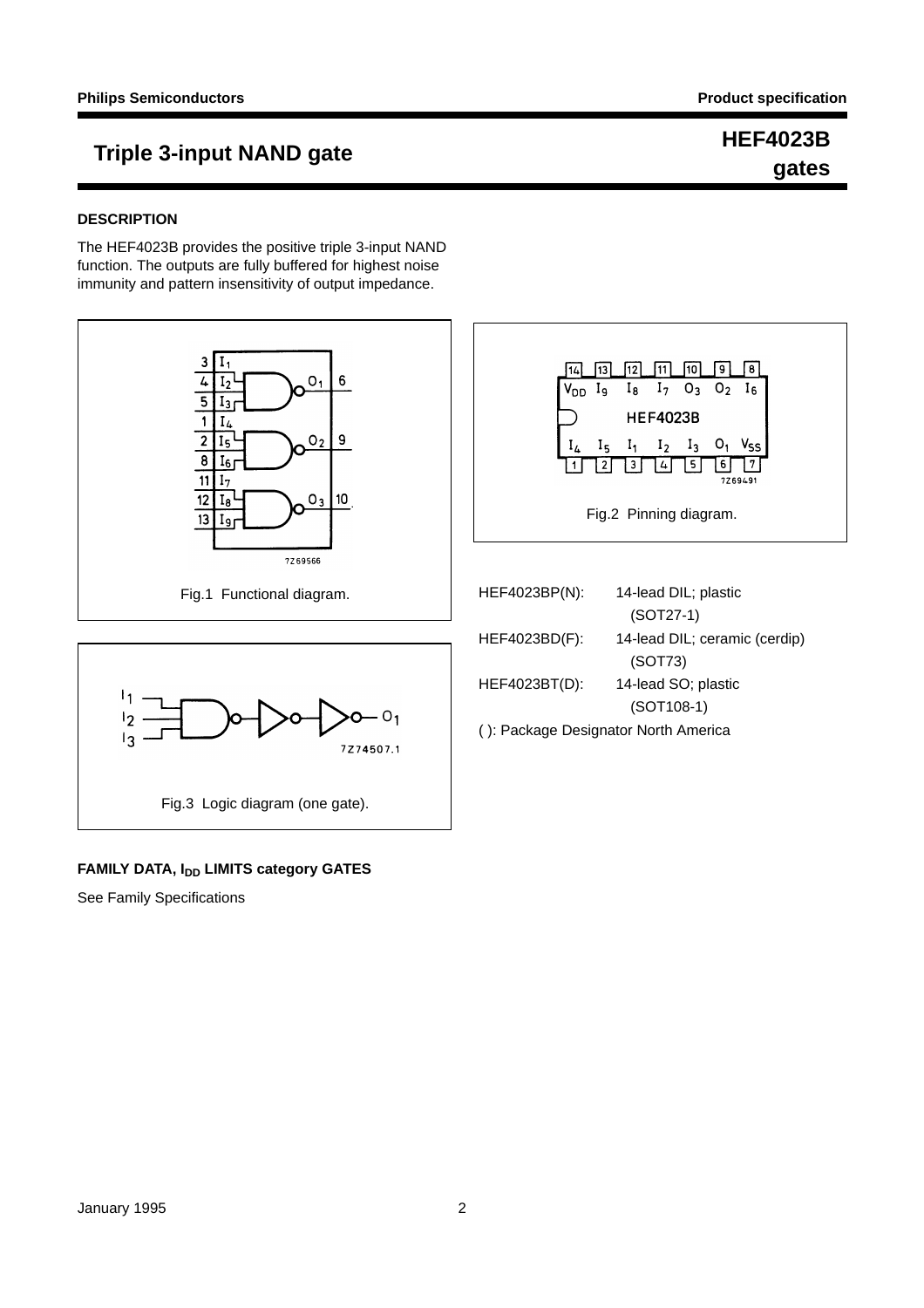### **Triple 3-input NAND gate HEF4023B**

## **gates**

#### **DESCRIPTION**

The HEF4023B provides the positive triple 3-input NAND function. The outputs are fully buffered for highest noise immunity and pattern insensitivity of output impedance.



#### **FAMILY DATA, IDD LIMITS category GATES**

See Family Specifications